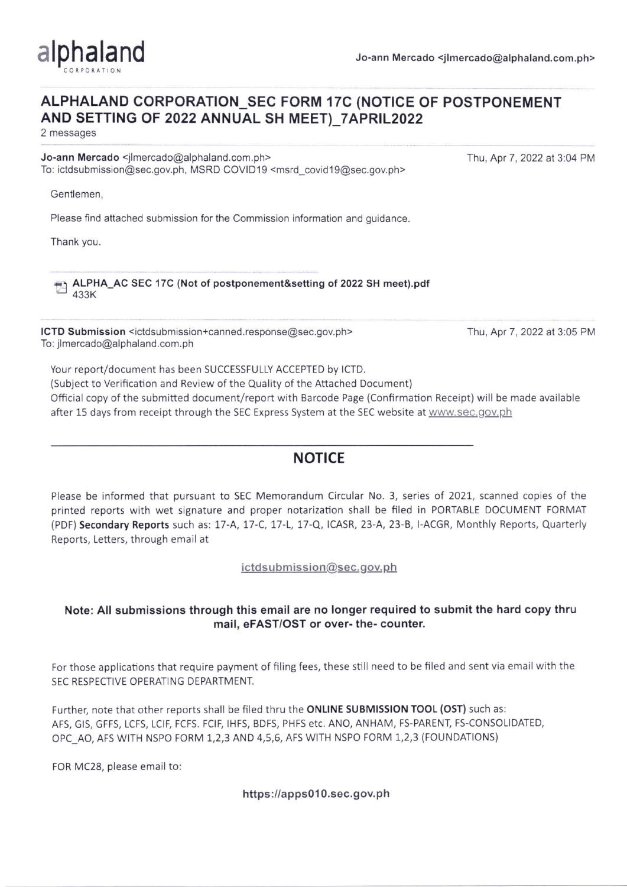

## ALPHALAND CORPORATION SEC FORM 17C (NOTICE OF POSTPONEMENT AND SETTING OF 2022 ANNUAL SH MEET)\_7APR!L2022

2 messages

Jo-ann Mercado <jlmercado@alphaland.com.ph> Thu, Apr 7, 2022 at 3:04 PM To: ictdsubmission@sec.gov.ph, MSRD COVID19 <msrd\_covid19@sec.gov.ph>

Gentlemen,

Please find attached submission for the Commission information and guidance.

Thank you.

ALPHA\_AC SEC 17C (Not of postponement&setting of 2022 SH meet).pdf 433K

ICTD Submission <ictdsubmission+canned.response@sec.gov.ph> Thu, Apr 7, 2022 at 3:05 PM To: jlmercado@alphaland.com.ph

Your report/document has been SUCCESSFULLY ACCEPTED by ICTD.

(Subiect to Verification and Review of the Quality of the Attached Document)

Official copy of the submitted document/report with Barcode Page (Confirmation Receipt) will be made available after 15 days from receipt through the SEC Express System at the SEC website at www.sec.gov.ph

# **NOTICE**

Please be informed that pursuant to SEC Memorandum Circular No. 3, series of 2021, scanned copies of the printed reports with wet signature and proper notarization shall be filed in PORTABLE DOCUMENT FORMAT (PDF) Secondary Reports such as: 17-A, 17-C, 17-L, 17-Q, ICASR, 23-A, 23-B, I-ACGR, Monthly Reports, Quarterly Reports, Letters, through email at

 $ictd$ submission@sec.gov.ph

## Note: All submissions through this email are no longer required to submit the hard copy thru mail, eFAST/OST or over- the- counter.

For those applications that require payment of filing fees, these still need to be filed and sent via email with the SEC RESPECTIVE OPERATING DEPARTMENT.

Further, note that other reports shall be filed thru the ONLINE SUBMISSION TOOL (OST) such as: AFS, GIS, GFFS, LCFS, LCIF, FCFS. FCIF, IHFS, BDFS, PHFS etc. ANO, ANHAM, FS-PARENT, FS-CONSOLIDATED, oPc\_Ao, AFS W|TH NSPO FORM 1,2,3 AND 4,5,6, AFS WITH NSPO FORM 1,2,3 (FOUNDATIONS)

FOR MC28, please email to:

https://apps010.sec.gov.ph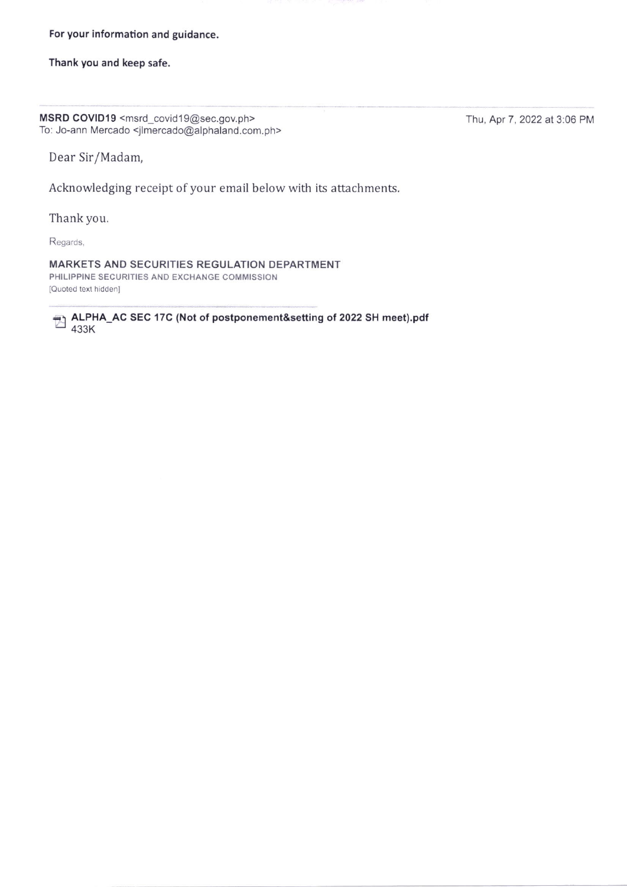### For your information and guidance.

### Thank you and keep safe.

MSRD COVID19 <msrd\_covid19@sec.gov.ph> Thu, Apr 7, 2022 at 3:06 PM To: Jo-ann Mercado <jlmercado@alphaland.com.ph>

Dear Sir/Madam,

Acknowledging receipt of your email below with its attachments.

Thank you.

Regards,

MARKETS AND SECURITIES REGULATION DEPARTMENT PHILIPPINE SECURITIES AND EXCHANGE COMMISSION [Quoted text hidden]

ALPHA\_AC SEC 17C (Not of postponement&setting of 2022 SH meet).pdf 433K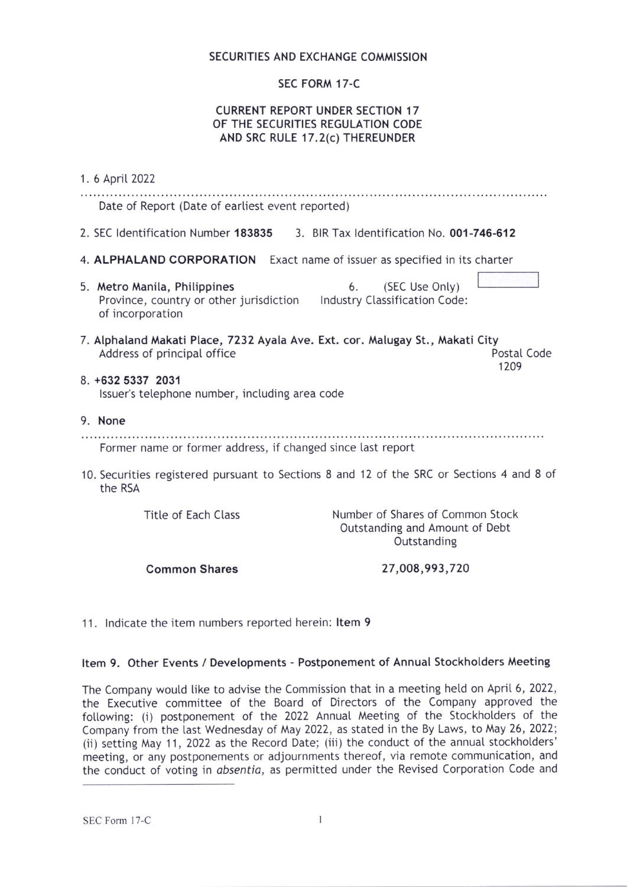## SECURITIES AND EXCHANGE COMMISSION

## sEc FoRM 17-C

## CURRENT REPORT UNDER SECTION 17 OF THE SECURITIES REGULATION CODE AND SRC RULE 17.2(c) THEREUNDER

1. 6 Aprit 2022 Date of Report (Date of earliest event reported) 2. SEC ldentification Number 183835 3. BIR Tax ldentification No. 001-746-612 4. ALPHALAND CORPORATION Exact name of issuer as specified in its charter 5. Metro Manila, Philippines 6. (SEC Use Only) Province, country or other jurisdiction lndustry Ctassification Code: of incorporation 7. Alphaland Makati Place, 7232 Ayala Ave. Ext. cor. Malugay St., Makati City Address of principal office Postal Code 1209 8. +632 5337 2031 lssuer's tetephone number, inctuding area code 9. None Former name or former address, if changed since last report 10. Securities registered pursuant to Sections 8 and '12 of the SRC or Sections 4 and 8 of the RSA Title of Each Class Number of Shares of Common Stock Outstanding and Amount of Debt Outstanding

Common Shares

27,008,993,720

11. lndicate the item numbers reported herein: ltem 9

### Item 9. Other Events / Developments - Postponement of Annual Stockholders Meeting

The Company would like to advise the Commission that in a meeting held on April 6, 2022, the Executive committee of the Board of Directors of the Company approved the following: (i) postponement of the 2022 Annual Meeting of the Stockholders of the Company from the last Wednesday of May 2022, as stated in the By Laws, to May 26, 2022; (ii) setting May 11, 2022 as the Record Date; (iii) the conduct of the annual stockholders' meeting, or any postponements or adjournments thereof, via remote communication, and the conduct of voting in absentia, as permitted under the Revised Corporation Code and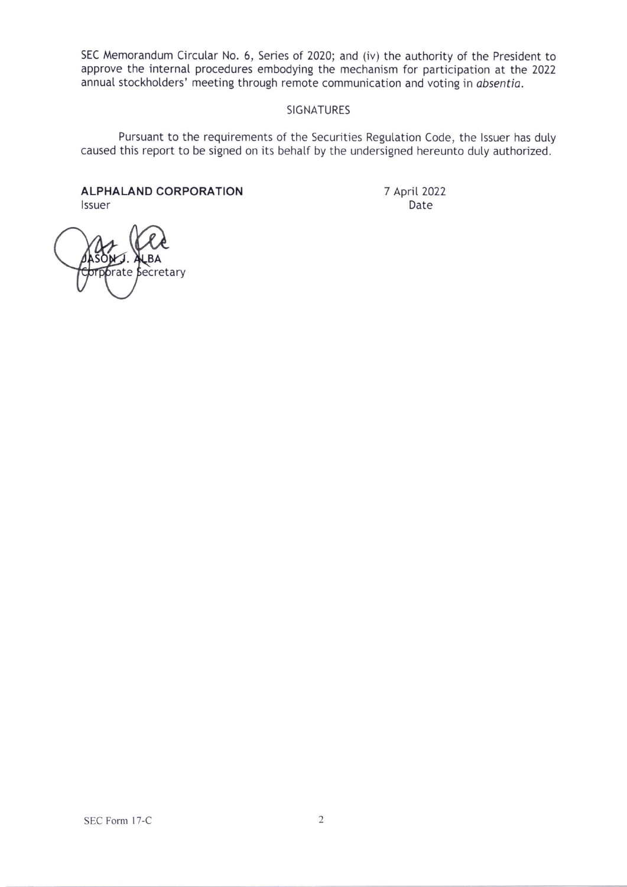SEC Memorandum Circular No. 6, Series of 2020; and (iv) the authority of the President to approve the internal procedures embodying the mechanism for participation at the 2022 annual stockholders' meeting through remote communication and voting in obsentia.

### SIGNATURES

Pursuant to the requirements of the Securities Regulation Code, the Issuer has duly caused this report to be signed on its behalf by the undersigned hereunto duty authorized.

ALPHALAND CORPORATION lssuer

7 April2072 Date